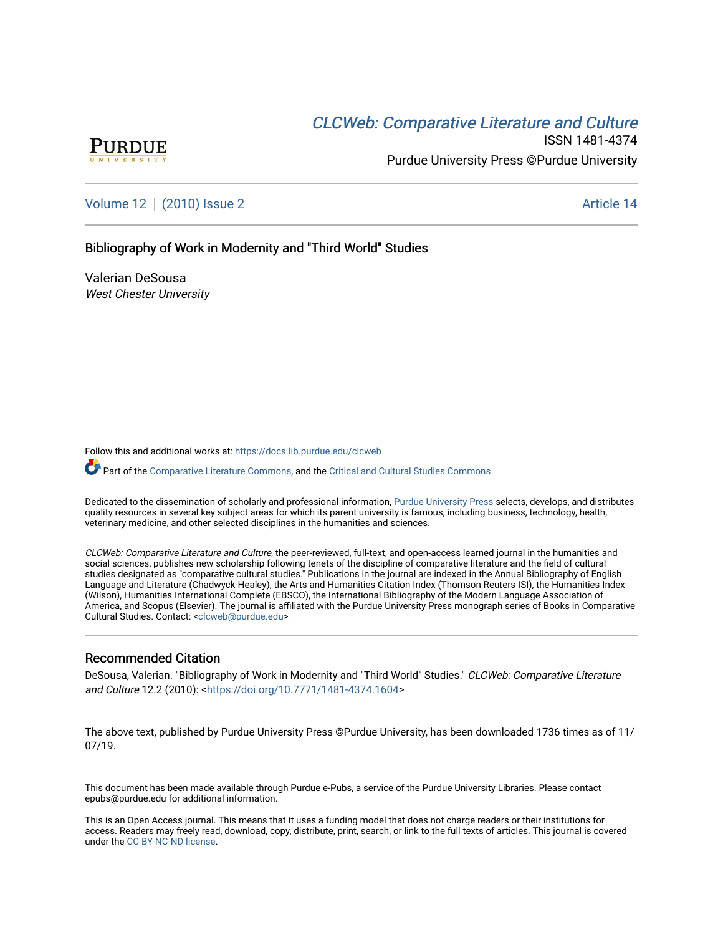# **CLCW[eb: Comparative Liter](https://docs.lib.purdue.edu/clcweb)ature and Culture**



ISSN 1481-4374 Purdue University Press ©Purdue University

[Volume 12](https://docs.lib.purdue.edu/clcweb/vol12) | [\(2010\) Issue 2](https://docs.lib.purdue.edu/clcweb/vol12/iss2) Article 14

Bibliography of Work in Modernity and "Third World" Studies

Valerian DeSousa West Chester University

Follow this and additional works at: [https://docs.lib.purdue.edu/clcweb](https://docs.lib.purdue.edu/clcweb?utm_source=docs.lib.purdue.edu%2Fclcweb%2Fvol12%2Fiss2%2F14&utm_medium=PDF&utm_campaign=PDFCoverPages)

Part of the [Comparative Literature Commons,](http://network.bepress.com/hgg/discipline/454?utm_source=docs.lib.purdue.edu%2Fclcweb%2Fvol12%2Fiss2%2F14&utm_medium=PDF&utm_campaign=PDFCoverPages) and the Critical and Cultural Studies Commons

Dedicated to the dissemination of scholarly and professional information, [Purdue University Press](http://www.thepress.purdue.edu/) selects, develops, and distributes quality resources in several key subject areas for which its parent university is famous, including business, technology, health, veterinary medicine, and other selected disciplines in the humanities and sciences.

CLCWeb: Comparative Literature and Culture, the peer-reviewed, full-text, and open-access learned journal in the humanities and social sciences, publishes new scholarship following tenets of the discipline of comparative literature and the field of cultural studies designated as "comparative cultural studies." Publications in the journal are indexed in the Annual Bibliography of English Language and Literature (Chadwyck-Healey), the Arts and Humanities Citation Index (Thomson Reuters ISI), the Humanities Index (Wilson), Humanities International Complete (EBSCO), the International Bibliography of the Modern Language Association of America, and Scopus (Elsevier). The journal is affiliated with the Purdue University Press monograph series of Books in Comparative Cultural Studies. Contact: [<clcweb@purdue.edu](mailto:clcweb@purdue.edu)>

## Recommended Citation

DeSousa, Valerian. "Bibliography of Work in Modernity and "Third World" Studies." CLCWeb: Comparative Literature and Culture 12.2 (2010): [<https://doi.org/10.7771/1481-4374.1604>](https://doi.org/10.7771/1481-4374.1604)

The above text, published by Purdue University Press ©Purdue University, has been downloaded 1736 times as of 11/ 07/19.

This document has been made available through Purdue e-Pubs, a service of the Purdue University Libraries. Please contact epubs@purdue.edu for additional information.

This is an Open Access journal. This means that it uses a funding model that does not charge readers or their institutions for access. Readers may freely read, download, copy, distribute, print, search, or link to the full texts of articles. This journal is covered under the [CC BY-NC-ND license.](https://creativecommons.org/licenses/by-nc-nd/4.0/)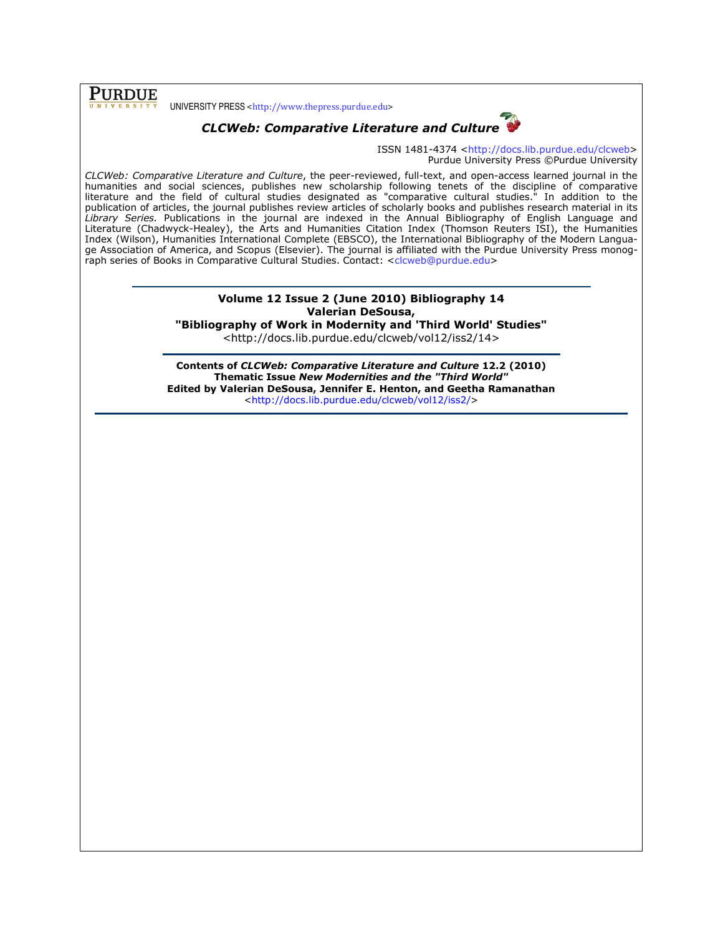PURDUE

UNIVERSITY PRESS <http://www.thepress.purdue.edu>



CLCWeb: Comparative Literature and Culture

ISSN 1481-4374 <http://docs.lib.purdue.edu/clcweb> Purdue University Press ©Purdue University

CLCWeb: Comparative Literature and Culture, the peer-reviewed, full-text, and open-access learned journal in the humanities and social sciences, publishes new scholarship following tenets of the discipline of comparative literature and the field of cultural studies designated as "comparative cultural studies." In addition to the publication of articles, the journal publishes review articles of scholarly books and publishes research material in its Library Series. Publications in the journal are indexed in the Annual Bibliography of English Language and Literature (Chadwyck-Healey), the Arts and Humanities Citation Index (Thomson Reuters ISI), the Humanities Index (Wilson), Humanities International Complete (EBSCO), the International Bibliography of the Modern Language Association of America, and Scopus (Elsevier). The journal is affiliated with the Purdue University Press monograph series of Books in Comparative Cultural Studies. Contact: <clcweb@purdue.edu>

## Volume 12 Issue 2 (June 2010) Bibliography 14 Valerian DeSousa,

"Bibliography of Work in Modernity and 'Third World' Studies"

<http://docs.lib.purdue.edu/clcweb/vol12/iss2/14>

Contents of CLCWeb: Comparative Literature and Culture 12.2 (2010) Thematic Issue New Modernities and the "Third World" Edited by Valerian DeSousa, Jennifer E. Henton, and Geetha Ramanathan <http://docs.lib.purdue.edu/clcweb/vol12/iss2/>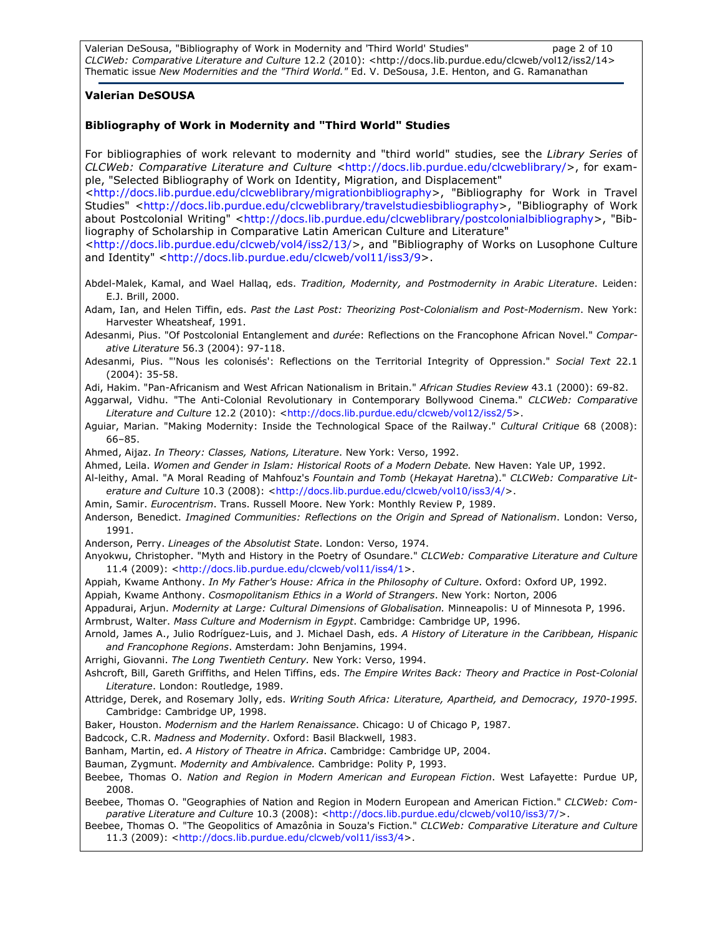Valerian DeSousa, "Bibliography of Work in Modernity and 'Third World' Studies" page 2 of 10 CLCWeb: Comparative Literature and Culture 12.2 (2010): <http://docs.lib.purdue.edu/clcweb/vol12/iss2/14> Thematic issue New Modernities and the "Third World." Ed. V. DeSousa, J.E. Henton, and G. Ramanathan

### Valerian DeSOUSA

### Bibliography of Work in Modernity and "Third World" Studies

For bibliographies of work relevant to modernity and "third world" studies, see the Library Series of CLCWeb: Comparative Literature and Culture <http://docs.lib.purdue.edu/clcweblibrary/>, for example, "Selected Bibliography of Work on Identity, Migration, and Displacement"

<http://docs.lib.purdue.edu/clcweblibrary/migrationbibliography>, "Bibliography for Work in Travel Studies" <http://docs.lib.purdue.edu/clcweblibrary/travelstudiesbibliography>, "Bibliography of Work about Postcolonial Writing" <http://docs.lib.purdue.edu/clcweblibrary/postcolonialbibliography>, "Bibliography of Scholarship in Comparative Latin American Culture and Literature"

<http://docs.lib.purdue.edu/clcweb/vol4/iss2/13/>, and "Bibliography of Works on Lusophone Culture and Identity" <http://docs.lib.purdue.edu/clcweb/vol11/iss3/9>.

Abdel-Malek, Kamal, and Wael Hallaq, eds. Tradition, Modernity, and Postmodernity in Arabic Literature. Leiden: E.J. Brill, 2000.

Adam, Ian, and Helen Tiffin, eds. Past the Last Post: Theorizing Post-Colonialism and Post-Modernism. New York: Harvester Wheatsheaf, 1991.

Adesanmi, Pius. "Of Postcolonial Entanglement and durée: Reflections on the Francophone African Novel." Comparative Literature 56.3 (2004): 97-118.

Adesanmi, Pius. "'Nous les colonisés': Reflections on the Territorial Integrity of Oppression." Social Text 22.1 (2004): 35-58.

Adi, Hakim. "Pan-Africanism and West African Nationalism in Britain." African Studies Review 43.1 (2000): 69-82.

Aggarwal, Vidhu. "The Anti-Colonial Revolutionary in Contemporary Bollywood Cinema." CLCWeb: Comparative Literature and Culture 12.2 (2010): <http://docs.lib.purdue.edu/clcweb/vol12/iss2/5>.

Aquiar, Marian. "Making Modernity: Inside the Technological Space of the Railway." Cultural Critique 68 (2008): 66–85.

Ahmed, Aijaz. In Theory: Classes, Nations, Literature. New York: Verso, 1992.

Ahmed, Leila. Women and Gender in Islam: Historical Roots of a Modern Debate. New Haven: Yale UP, 1992.

Al-leithy, Amal. "A Moral Reading of Mahfouz's Fountain and Tomb (Hekayat Haretna)." CLCWeb: Comparative Literature and Culture 10.3 (2008): <http://docs.lib.purdue.edu/clcweb/vol10/iss3/4/>.

Amin, Samir. Eurocentrism. Trans. Russell Moore. New York: Monthly Review P, 1989.

Anderson, Benedict. Imagined Communities: Reflections on the Origin and Spread of Nationalism. London: Verso, 1991.

Anderson, Perry. Lineages of the Absolutist State. London: Verso, 1974.

Anyokwu, Christopher. "Myth and History in the Poetry of Osundare." CLCWeb: Comparative Literature and Culture 11.4 (2009): <http://docs.lib.purdue.edu/clcweb/vol11/iss4/1>.

Appiah, Kwame Anthony. In My Father's House: Africa in the Philosophy of Culture. Oxford: Oxford UP, 1992.

Appiah, Kwame Anthony. Cosmopolitanism Ethics in a World of Strangers. New York: Norton, 2006

Appadurai, Arjun. Modernity at Large: Cultural Dimensions of Globalisation. Minneapolis: U of Minnesota P, 1996. Armbrust, Walter. Mass Culture and Modernism in Egypt. Cambridge: Cambridge UP, 1996.

Arnold, James A., Julio Rodríguez-Luis, and J. Michael Dash, eds. A History of Literature in the Caribbean, Hispanic and Francophone Regions. Amsterdam: John Benjamins, 1994.

Arrighi, Giovanni. The Long Twentieth Century. New York: Verso, 1994.

Ashcroft, Bill, Gareth Griffiths, and Helen Tiffins, eds. The Empire Writes Back: Theory and Practice in Post-Colonial Literature. London: Routledge, 1989.

Attridge, Derek, and Rosemary Jolly, eds. Writing South Africa: Literature, Apartheid, and Democracy, 1970-1995. Cambridge: Cambridge UP, 1998.

Baker, Houston. Modernism and the Harlem Renaissance. Chicago: U of Chicago P, 1987.

Badcock, C.R. Madness and Modernity. Oxford: Basil Blackwell, 1983.

Banham, Martin, ed. A History of Theatre in Africa. Cambridge: Cambridge UP, 2004.

Bauman, Zygmunt. Modernity and Ambivalence. Cambridge: Polity P, 1993.

Beebee, Thomas O. Nation and Region in Modern American and European Fiction. West Lafayette: Purdue UP, 2008.

Beebee, Thomas O. "Geographies of Nation and Region in Modern European and American Fiction." CLCWeb: Comparative Literature and Culture 10.3 (2008): <http://docs.lib.purdue.edu/clcweb/vol10/iss3/7/>.

Beebee, Thomas O. "The Geopolitics of Amazônia in Souza's Fiction." CLCWeb: Comparative Literature and Culture 11.3 (2009): <http://docs.lib.purdue.edu/clcweb/vol11/iss3/4>.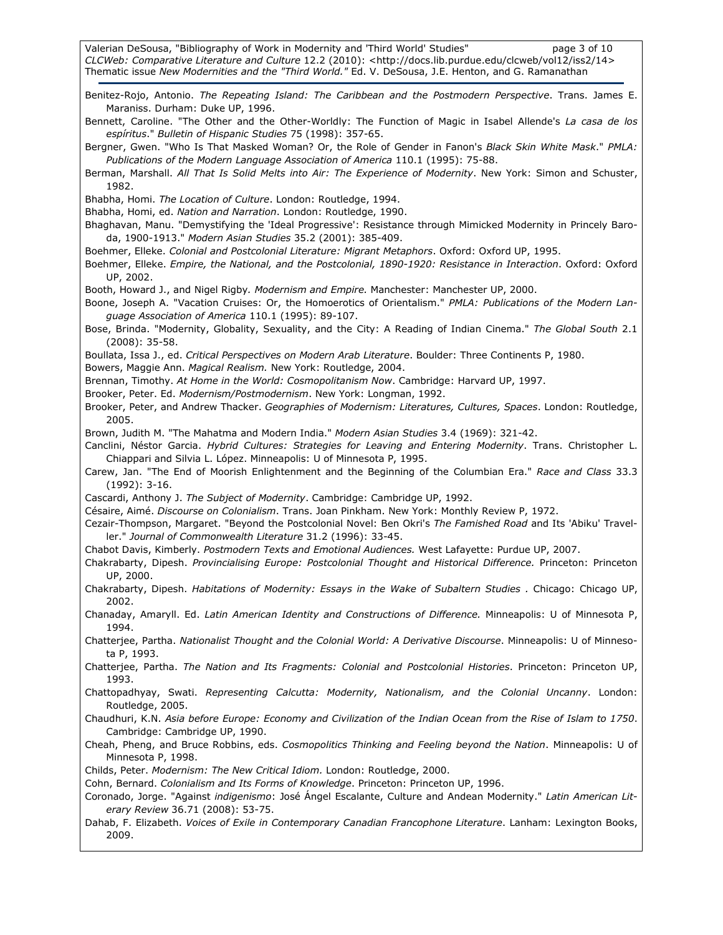Valerian DeSousa, "Bibliography of Work in Modernity and 'Third World' Studies" page 3 of 10 CLCWeb: Comparative Literature and Culture 12.2 (2010): <http://docs.lib.purdue.edu/clcweb/vol12/iss2/14> Thematic issue New Modernities and the "Third World." Ed. V. DeSousa, J.E. Henton, and G. Ramanathan

Benitez-Rojo, Antonio. The Repeating Island: The Caribbean and the Postmodern Perspective. Trans. James E. Maraniss. Durham: Duke UP, 1996.

Bennett, Caroline. "The Other and the Other-Worldly: The Function of Magic in Isabel Allende's La casa de los espíritus." Bulletin of Hispanic Studies 75 (1998): 357-65.

Bergner, Gwen. "Who Is That Masked Woman? Or, the Role of Gender in Fanon's Black Skin White Mask." PMLA: Publications of the Modern Language Association of America 110.1 (1995): 75-88.

Berman, Marshall. All That Is Solid Melts into Air: The Experience of Modernity. New York: Simon and Schuster, 1982.

Bhabha, Homi. The Location of Culture. London: Routledge, 1994.

Bhabha, Homi, ed. Nation and Narration. London: Routledge, 1990.

- Bhaghavan, Manu. "Demystifying the 'Ideal Progressive': Resistance through Mimicked Modernity in Princely Baroda, 1900-1913." Modern Asian Studies 35.2 (2001): 385-409.
- Boehmer, Elleke. Colonial and Postcolonial Literature: Migrant Metaphors. Oxford: Oxford UP, 1995.

Boehmer, Elleke. Empire, the National, and the Postcolonial, 1890-1920: Resistance in Interaction. Oxford: Oxford UP, 2002.

Booth, Howard J., and Nigel Rigby. Modernism and Empire. Manchester: Manchester UP, 2000.

Boone, Joseph A. "Vacation Cruises: Or, the Homoerotics of Orientalism." PMLA: Publications of the Modern Language Association of America 110.1 (1995): 89-107.

Bose, Brinda. "Modernity, Globality, Sexuality, and the City: A Reading of Indian Cinema." The Global South 2.1 (2008): 35-58.

Boullata, Issa J., ed. Critical Perspectives on Modern Arab Literature. Boulder: Three Continents P, 1980.

Bowers, Maggie Ann. Magical Realism. New York: Routledge, 2004.

Brennan, Timothy. At Home in the World: Cosmopolitanism Now. Cambridge: Harvard UP, 1997.

Brooker, Peter. Ed. Modernism/Postmodernism. New York: Longman, 1992.

Brooker, Peter, and Andrew Thacker. Geographies of Modernism: Literatures, Cultures, Spaces. London: Routledge, 2005.

Brown, Judith M. "The Mahatma and Modern India." Modern Asian Studies 3.4 (1969): 321-42.

Canclini, Néstor Garcia. Hybrid Cultures: Strategies for Leaving and Entering Modernity. Trans. Christopher L. Chiappari and Silvia L. López. Minneapolis: U of Minnesota P, 1995.

Carew, Jan. "The End of Moorish Enlightenment and the Beginning of the Columbian Era." Race and Class 33.3 (1992): 3-16.

Cascardi, Anthony J. The Subject of Modernity. Cambridge: Cambridge UP, 1992.

Césaire, Aimé. Discourse on Colonialism. Trans. Joan Pinkham. New York: Monthly Review P, 1972.

Cezair-Thompson, Margaret. "Beyond the Postcolonial Novel: Ben Okri's The Famished Road and Its 'Abiku' Traveller." Journal of Commonwealth Literature 31.2 (1996): 33-45.

Chabot Davis, Kimberly. Postmodern Texts and Emotional Audiences. West Lafayette: Purdue UP, 2007.

Chakrabarty, Dipesh. Provincialising Europe: Postcolonial Thought and Historical Difference. Princeton: Princeton UP, 2000.

Chakrabarty, Dipesh. Habitations of Modernity: Essays in the Wake of Subaltern Studies . Chicago: Chicago UP, 2002.

Chanaday, Amaryll. Ed. Latin American Identity and Constructions of Difference. Minneapolis: U of Minnesota P, 1994.

Chatterjee, Partha. Nationalist Thought and the Colonial World: A Derivative Discourse. Minneapolis: U of Minnesota P, 1993.

Chatterjee, Partha. The Nation and Its Fragments: Colonial and Postcolonial Histories. Princeton: Princeton UP, 1993.

Chattopadhyay, Swati. Representing Calcutta: Modernity, Nationalism, and the Colonial Uncanny. London: Routledge, 2005.

Chaudhuri, K.N. Asia before Europe: Economy and Civilization of the Indian Ocean from the Rise of Islam to 1750. Cambridge: Cambridge UP, 1990.

Cheah, Pheng, and Bruce Robbins, eds. Cosmopolitics Thinking and Feeling beyond the Nation. Minneapolis: U of Minnesota P, 1998.

Childs, Peter. Modernism: The New Critical Idiom. London: Routledge, 2000.

Cohn, Bernard. Colonialism and Its Forms of Knowledge. Princeton: Princeton UP, 1996.

Coronado, Jorge. "Against indigenismo: José Ángel Escalante, Culture and Andean Modernity." Latin American Literary Review 36.71 (2008): 53-75.

Dahab, F. Elizabeth. Voices of Exile in Contemporary Canadian Francophone Literature. Lanham: Lexington Books, 2009.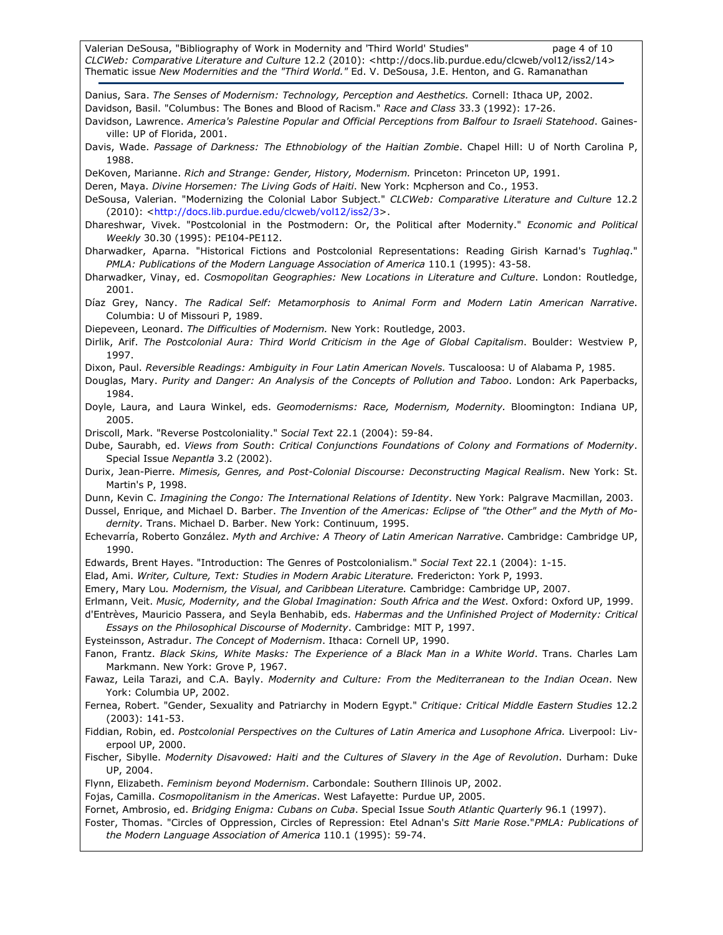Valerian DeSousa, "Bibliography of Work in Modernity and 'Third World' Studies" page 4 of 10 CLCWeb: Comparative Literature and Culture 12.2 (2010): <http://docs.lib.purdue.edu/clcweb/vol12/iss2/14> Thematic issue New Modernities and the "Third World." Ed. V. DeSousa, J.E. Henton, and G. Ramanathan

Danius, Sara. The Senses of Modernism: Technology, Perception and Aesthetics. Cornell: Ithaca UP, 2002. Davidson, Basil. "Columbus: The Bones and Blood of Racism." Race and Class 33.3 (1992): 17-26. Davidson, Lawrence. America's Palestine Popular and Official Perceptions from Balfour to Israeli Statehood. Gaines-

ville: UP of Florida, 2001.

Davis, Wade. Passage of Darkness: The Ethnobiology of the Haitian Zombie. Chapel Hill: U of North Carolina P, 1988.

DeKoven, Marianne. Rich and Strange: Gender, History, Modernism. Princeton: Princeton UP, 1991.

Deren, Maya. Divine Horsemen: The Living Gods of Haiti. New York: Mcpherson and Co., 1953.

DeSousa, Valerian. "Modernizing the Colonial Labor Subject." CLCWeb: Comparative Literature and Culture 12.2 (2010): <http://docs.lib.purdue.edu/clcweb/vol12/iss2/3>.

Dhareshwar, Vivek. "Postcolonial in the Postmodern: Or, the Political after Modernity." Economic and Political Weekly 30.30 (1995): PE104-PE112.

Dharwadker, Aparna. "Historical Fictions and Postcolonial Representations: Reading Girish Karnad's Tughlaq." PMLA: Publications of the Modern Language Association of America 110.1 (1995): 43-58.

Dharwadker, Vinay, ed. Cosmopolitan Geographies: New Locations in Literature and Culture. London: Routledge, 2001.

Díaz Grey, Nancy. The Radical Self: Metamorphosis to Animal Form and Modern Latin American Narrative. Columbia: U of Missouri P, 1989.

Diepeveen, Leonard. The Difficulties of Modernism. New York: Routledge, 2003.

Dirlik, Arif. The Postcolonial Aura: Third World Criticism in the Age of Global Capitalism. Boulder: Westview P, 1997.

Dixon, Paul. Reversible Readings: Ambiguity in Four Latin American Novels. Tuscaloosa: U of Alabama P, 1985.

Douglas, Mary. Purity and Danger: An Analysis of the Concepts of Pollution and Taboo. London: Ark Paperbacks, 1984.

Doyle, Laura, and Laura Winkel, eds. Geomodernisms: Race, Modernism, Modernity. Bloomington: Indiana UP, 2005.

Driscoll, Mark. "Reverse Postcoloniality." Social Text 22.1 (2004): 59-84.

Dube, Saurabh, ed. Views from South: Critical Conjunctions Foundations of Colony and Formations of Modernity. Special Issue Nepantla 3.2 (2002).

Durix, Jean-Pierre. Mimesis, Genres, and Post-Colonial Discourse: Deconstructing Magical Realism. New York: St. Martin's P, 1998.

Dunn, Kevin C. Imagining the Congo: The International Relations of Identity. New York: Palgrave Macmillan, 2003.

Dussel, Enrique, and Michael D. Barber. The Invention of the Americas: Eclipse of "the Other" and the Myth of Modernity. Trans. Michael D. Barber. New York: Continuum, 1995.

Echevarría, Roberto González. Myth and Archive: A Theory of Latin American Narrative. Cambridge: Cambridge UP, 1990.

Edwards, Brent Hayes. "Introduction: The Genres of Postcolonialism." Social Text 22.1 (2004): 1-15.

Elad, Ami. Writer, Culture, Text: Studies in Modern Arabic Literature. Fredericton: York P, 1993.

Emery, Mary Lou. Modernism, the Visual, and Caribbean Literature. Cambridge: Cambridge UP, 2007.

Erlmann, Veit. Music, Modernity, and the Global Imagination: South Africa and the West. Oxford: Oxford UP, 1999. d'Entrèves, Mauricio Passera, and Seyla Benhabib, eds. Habermas and the Unfinished Project of Modernity: Critical

Essays on the Philosophical Discourse of Modernity. Cambridge: MIT P, 1997.

Eysteinsson, Astradur. The Concept of Modernism. Ithaca: Cornell UP, 1990.

Fanon, Frantz. Black Skins, White Masks: The Experience of a Black Man in a White World. Trans. Charles Lam Markmann. New York: Grove P, 1967.

Fawaz, Leila Tarazi, and C.A. Bayly. Modernity and Culture: From the Mediterranean to the Indian Ocean. New York: Columbia UP, 2002.

Fernea, Robert. "Gender, Sexuality and Patriarchy in Modern Egypt." Critique: Critical Middle Eastern Studies 12.2 (2003): 141-53.

Fiddian, Robin, ed. Postcolonial Perspectives on the Cultures of Latin America and Lusophone Africa. Liverpool: Liverpool UP, 2000.

Fischer, Sibylle. Modernity Disavowed: Haiti and the Cultures of Slavery in the Age of Revolution. Durham: Duke UP, 2004.

Flynn, Elizabeth. Feminism beyond Modernism. Carbondale: Southern Illinois UP, 2002.

Fojas, Camilla. Cosmopolitanism in the Americas. West Lafayette: Purdue UP, 2005.

Fornet, Ambrosio, ed. Bridging Enigma: Cubans on Cuba. Special Issue South Atlantic Quarterly 96.1 (1997).

Foster, Thomas. "Circles of Oppression, Circles of Repression: Etel Adnan's Sitt Marie Rose."PMLA: Publications of the Modern Language Association of America 110.1 (1995): 59-74.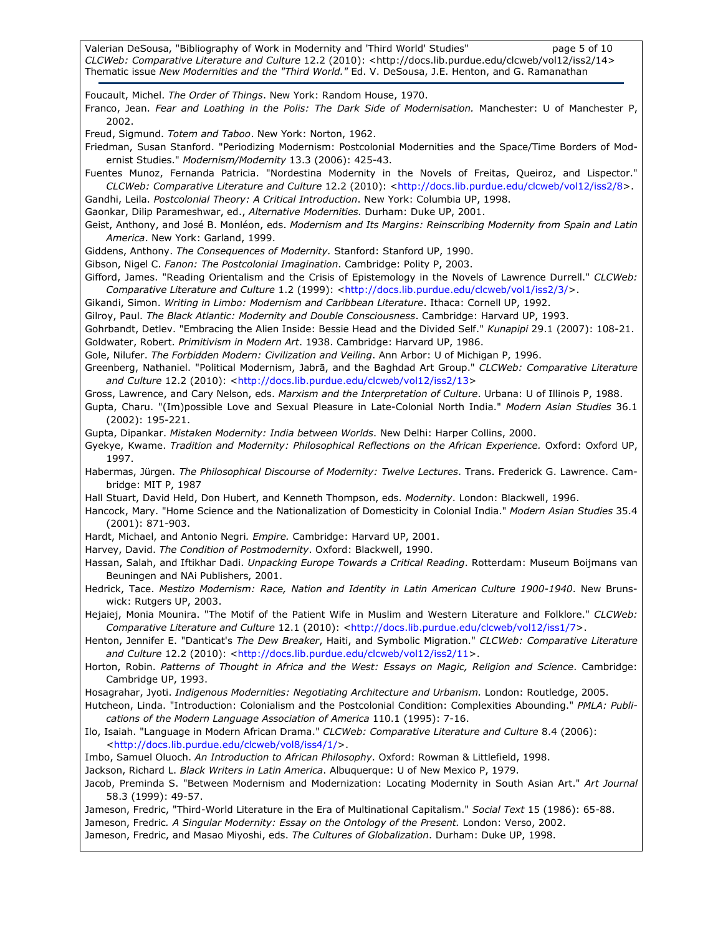Valerian DeSousa, "Bibliography of Work in Modernity and 'Third World' Studies" page 5 of 10 CLCWeb: Comparative Literature and Culture 12.2 (2010): <http://docs.lib.purdue.edu/clcweb/vol12/iss2/14> Thematic issue New Modernities and the "Third World." Ed. V. DeSousa, J.E. Henton, and G. Ramanathan

Foucault, Michel. The Order of Things. New York: Random House, 1970. Franco, Jean. Fear and Loathing in the Polis: The Dark Side of Modernisation. Manchester: U of Manchester P, 2002. Freud, Sigmund. Totem and Taboo. New York: Norton, 1962. Friedman, Susan Stanford. "Periodizing Modernism: Postcolonial Modernities and the Space/Time Borders of Modernist Studies." Modernism/Modernity 13.3 (2006): 425-43. Fuentes Munoz, Fernanda Patricia. "Nordestina Modernity in the Novels of Freitas, Queiroz, and Lispector." CLCWeb: Comparative Literature and Culture 12.2 (2010): <http://docs.lib.purdue.edu/clcweb/vol12/iss2/8>. Gandhi, Leila. Postcolonial Theory: A Critical Introduction. New York: Columbia UP, 1998. Gaonkar, Dilip Parameshwar, ed., Alternative Modernities. Durham: Duke UP, 2001. Geist, Anthony, and José B. Monléon, eds. Modernism and Its Margins: Reinscribing Modernity from Spain and Latin America. New York: Garland, 1999. Giddens, Anthony. The Consequences of Modernity. Stanford: Stanford UP, 1990. Gibson, Nigel C. Fanon: The Postcolonial Imagination. Cambridge: Polity P, 2003. Gifford, James. "Reading Orientalism and the Crisis of Epistemology in the Novels of Lawrence Durrell." CLCWeb: Comparative Literature and Culture 1.2 (1999): <http://docs.lib.purdue.edu/clcweb/vol1/iss2/3/>. Gikandi, Simon. Writing in Limbo: Modernism and Caribbean Literature. Ithaca: Cornell UP, 1992. Gilroy, Paul. The Black Atlantic: Modernity and Double Consciousness. Cambridge: Harvard UP, 1993. Gohrbandt, Detlev. "Embracing the Alien Inside: Bessie Head and the Divided Self." Kunapipi 29.1 (2007): 108-21. Goldwater, Robert. Primitivism in Modern Art. 1938. Cambridge: Harvard UP, 1986. Gole, Nilufer. The Forbidden Modern: Civilization and Veiling. Ann Arbor: U of Michigan P, 1996. Greenberg, Nathaniel. "Political Modernism, Jabrā, and the Baghdad Art Group." CLCWeb: Comparative Literature and Culture 12.2 (2010): <http://docs.lib.purdue.edu/clcweb/vol12/iss2/13> Gross, Lawrence, and Cary Nelson, eds. Marxism and the Interpretation of Culture. Urbana: U of Illinois P, 1988. Gupta, Charu. "(Im)possible Love and Sexual Pleasure in Late-Colonial North India." Modern Asian Studies 36.1 (2002): 195-221. Gupta, Dipankar. Mistaken Modernity: India between Worlds. New Delhi: Harper Collins, 2000. Gyekye, Kwame. Tradition and Modernity: Philosophical Reflections on the African Experience. Oxford: Oxford UP, 1997. Habermas, Jürgen. The Philosophical Discourse of Modernity: Twelve Lectures. Trans. Frederick G. Lawrence. Cambridge: MIT P, 1987 Hall Stuart, David Held, Don Hubert, and Kenneth Thompson, eds. Modernity. London: Blackwell, 1996. Hancock, Mary. "Home Science and the Nationalization of Domesticity in Colonial India." Modern Asian Studies 35.4 (2001): 871-903. Hardt, Michael, and Antonio Negri. Empire. Cambridge: Harvard UP, 2001. Harvey, David. The Condition of Postmodernity. Oxford: Blackwell, 1990. Hassan, Salah, and Iftikhar Dadi. Unpacking Europe Towards a Critical Reading. Rotterdam: Museum Boijmans van Beuningen and NAi Publishers, 2001. Hedrick, Tace. Mestizo Modernism: Race, Nation and Identity in Latin American Culture 1900-1940. New Brunswick: Rutgers UP, 2003. Hejaiej, Monia Mounira. "The Motif of the Patient Wife in Muslim and Western Literature and Folklore." CLCWeb: Comparative Literature and Culture 12.1 (2010): <http://docs.lib.purdue.edu/clcweb/vol12/iss1/7>. Henton, Jennifer E. "Danticat's The Dew Breaker, Haiti, and Symbolic Migration." CLCWeb: Comparative Literature and Culture 12.2 (2010): <http://docs.lib.purdue.edu/clcweb/vol12/iss2/11>. Horton, Robin. Patterns of Thought in Africa and the West: Essays on Magic, Religion and Science. Cambridge: Cambridge UP, 1993. Hosagrahar, Jyoti. Indigenous Modernities: Negotiating Architecture and Urbanism. London: Routledge, 2005. Hutcheon, Linda. "Introduction: Colonialism and the Postcolonial Condition: Complexities Abounding." PMLA: Publications of the Modern Language Association of America 110.1 (1995): 7-16. Ilo, Isaiah. "Language in Modern African Drama." CLCWeb: Comparative Literature and Culture 8.4 (2006): <http://docs.lib.purdue.edu/clcweb/vol8/iss4/1/>. Imbo, Samuel Oluoch. An Introduction to African Philosophy. Oxford: Rowman & Littlefield, 1998. Jackson, Richard L. Black Writers in Latin America. Albuquerque: U of New Mexico P, 1979. Jacob, Preminda S. "Between Modernism and Modernization: Locating Modernity in South Asian Art." Art Journal 58.3 (1999): 49-57. Jameson, Fredric, "Third-World Literature in the Era of Multinational Capitalism." Social Text 15 (1986): 65-88. Jameson, Fredric. A Singular Modernity: Essay on the Ontology of the Present. London: Verso, 2002. Jameson, Fredric, and Masao Miyoshi, eds. The Cultures of Globalization. Durham: Duke UP, 1998.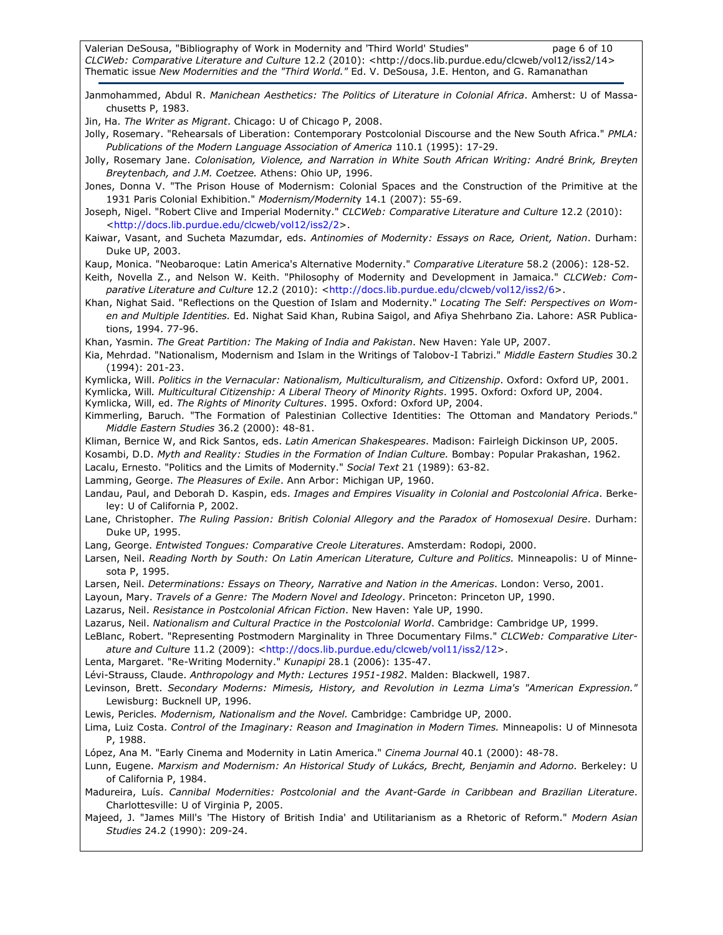Valerian DeSousa, "Bibliography of Work in Modernity and 'Third World' Studies" page 6 of 10 CLCWeb: Comparative Literature and Culture 12.2 (2010): <http://docs.lib.purdue.edu/clcweb/vol12/iss2/14> Thematic issue New Modernities and the "Third World." Ed. V. DeSousa, J.E. Henton, and G. Ramanathan

Janmohammed, Abdul R. Manichean Aesthetics: The Politics of Literature in Colonial Africa. Amherst: U of Massachusetts P, 1983.

Jin, Ha. The Writer as Migrant. Chicago: U of Chicago P, 2008.

- Jolly, Rosemary. "Rehearsals of Liberation: Contemporary Postcolonial Discourse and the New South Africa." PMLA: Publications of the Modern Language Association of America 110.1 (1995): 17-29.
- Jolly, Rosemary Jane. Colonisation, Violence, and Narration in White South African Writing: André Brink, Breyten Breytenbach, and J.M. Coetzee. Athens: Ohio UP, 1996.
- Jones, Donna V. "The Prison House of Modernism: Colonial Spaces and the Construction of the Primitive at the 1931 Paris Colonial Exhibition." Modernism/Modernity 14.1 (2007): 55-69.
- Joseph, Nigel. "Robert Clive and Imperial Modernity." CLCWeb: Comparative Literature and Culture 12.2 (2010): <http://docs.lib.purdue.edu/clcweb/vol12/iss2/2>.
- Kaiwar, Vasant, and Sucheta Mazumdar, eds. Antinomies of Modernity: Essays on Race, Orient, Nation. Durham: Duke UP, 2003.

Kaup, Monica. "Neobaroque: Latin America's Alternative Modernity." Comparative Literature 58.2 (2006): 128-52.

Keith, Novella Z., and Nelson W. Keith. "Philosophy of Modernity and Development in Jamaica." CLCWeb: Comparative Literature and Culture 12.2 (2010): <http://docs.lib.purdue.edu/clcweb/vol12/iss2/6>.

Khan, Nighat Said. "Reflections on the Question of Islam and Modernity." Locating The Self: Perspectives on Women and Multiple Identities. Ed. Nighat Said Khan, Rubina Saigol, and Afiya Shehrbano Zia. Lahore: ASR Publications, 1994. 77-96.

Khan, Yasmin. The Great Partition: The Making of India and Pakistan. New Haven: Yale UP, 2007.

- Kia, Mehrdad. "Nationalism, Modernism and Islam in the Writings of Talobov-I Tabrizi." Middle Eastern Studies 30.2 (1994): 201-23.
- Kymlicka, Will. Politics in the Vernacular: Nationalism, Multiculturalism, and Citizenship. Oxford: Oxford UP, 2001.

Kymlicka, Will. Multicultural Citizenship: A Liberal Theory of Minority Rights. 1995. Oxford: Oxford UP, 2004.

- Kymlicka, Will, ed. The Rights of Minority Cultures. 1995. Oxford: Oxford UP, 2004.
- Kimmerling, Baruch. "The Formation of Palestinian Collective Identities: The Ottoman and Mandatory Periods." Middle Eastern Studies 36.2 (2000): 48-81.
- Kliman, Bernice W, and Rick Santos, eds. Latin American Shakespeares. Madison: Fairleigh Dickinson UP, 2005.

Kosambi, D.D. Myth and Reality: Studies in the Formation of Indian Culture. Bombay: Popular Prakashan, 1962.

Lacalu, Ernesto. "Politics and the Limits of Modernity." Social Text 21 (1989): 63-82.

Lamming, George. The Pleasures of Exile. Ann Arbor: Michigan UP, 1960.

- Landau, Paul, and Deborah D. Kaspin, eds. Images and Empires Visuality in Colonial and Postcolonial Africa. Berkeley: U of California P, 2002.
- Lane, Christopher. The Ruling Passion: British Colonial Allegory and the Paradox of Homosexual Desire. Durham: Duke UP, 1995.
- Lang, George. Entwisted Tongues: Comparative Creole Literatures. Amsterdam: Rodopi, 2000.
- Larsen, Neil. Reading North by South: On Latin American Literature, Culture and Politics. Minneapolis: U of Minnesota P, 1995.
- Larsen, Neil. Determinations: Essays on Theory, Narrative and Nation in the Americas. London: Verso, 2001.

Layoun, Mary. Travels of a Genre: The Modern Novel and Ideology. Princeton: Princeton UP, 1990.

- Lazarus, Neil. Resistance in Postcolonial African Fiction. New Haven: Yale UP, 1990.
- Lazarus, Neil. Nationalism and Cultural Practice in the Postcolonial World. Cambridge: Cambridge UP, 1999.
- LeBlanc, Robert. "Representing Postmodern Marginality in Three Documentary Films." CLCWeb: Comparative Literature and Culture 11.2 (2009): <http://docs.lib.purdue.edu/clcweb/vol11/iss2/12>.
- Lenta, Margaret. "Re-Writing Modernity." Kunapipi 28.1 (2006): 135-47.
- Lévi-Strauss, Claude. Anthropology and Myth: Lectures 1951-1982. Malden: Blackwell, 1987.
- Levinson, Brett. Secondary Moderns: Mimesis, History, and Revolution in Lezma Lima's "American Expression." Lewisburg: Bucknell UP, 1996.
- Lewis, Pericles. Modernism, Nationalism and the Novel. Cambridge: Cambridge UP, 2000.
- Lima, Luiz Costa. Control of the Imaginary: Reason and Imagination in Modern Times. Minneapolis: U of Minnesota P, 1988.
- López, Ana M. "Early Cinema and Modernity in Latin America." Cinema Journal 40.1 (2000): 48-78.
- Lunn, Eugene. Marxism and Modernism: An Historical Study of Lukács, Brecht, Benjamin and Adorno. Berkeley: U of California P, 1984.
- Madureira, Luís. Cannibal Modernities: Postcolonial and the Avant-Garde in Caribbean and Brazilian Literature. Charlottesville: U of Virginia P, 2005.
- Majeed, J. "James Mill's 'The History of British India' and Utilitarianism as a Rhetoric of Reform." Modern Asian Studies 24.2 (1990): 209-24.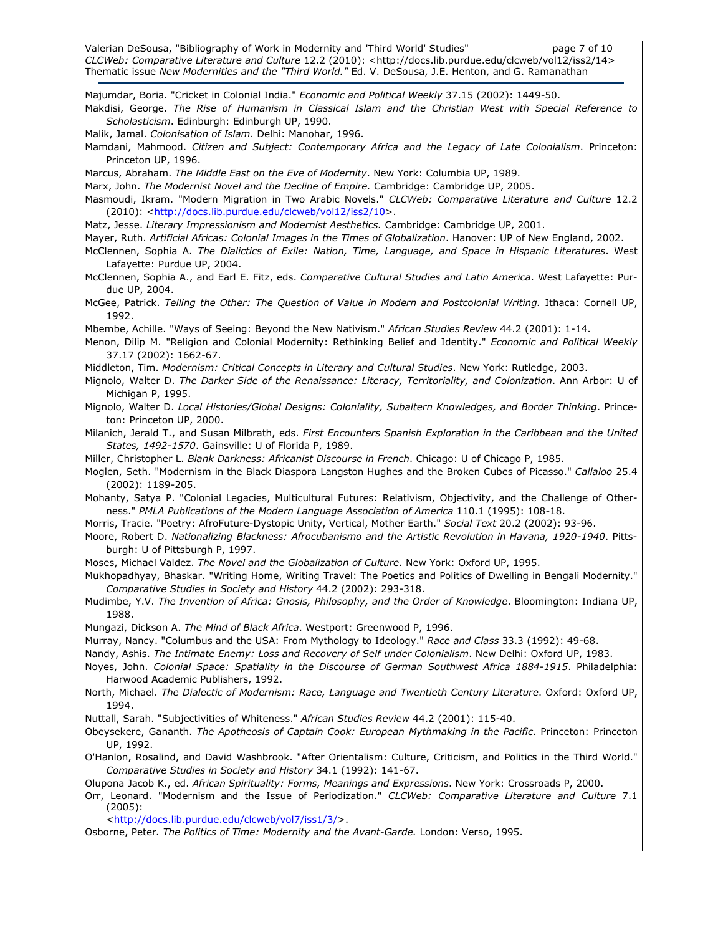Valerian DeSousa, "Bibliography of Work in Modernity and 'Third World' Studies" page 7 of 10 CLCWeb: Comparative Literature and Culture 12.2 (2010): <http://docs.lib.purdue.edu/clcweb/vol12/iss2/14> Thematic issue New Modernities and the "Third World." Ed. V. DeSousa, J.E. Henton, and G. Ramanathan

Majumdar, Boria. "Cricket in Colonial India." Economic and Political Weekly 37.15 (2002): 1449-50. Makdisi, George. The Rise of Humanism in Classical Islam and the Christian West with Special Reference to Scholasticism. Edinburgh: Edinburgh UP, 1990. Malik, Jamal. Colonisation of Islam. Delhi: Manohar, 1996. Mamdani, Mahmood. Citizen and Subject: Contemporary Africa and the Legacy of Late Colonialism. Princeton: Princeton UP, 1996. Marcus, Abraham. The Middle East on the Eve of Modernity. New York: Columbia UP, 1989. Marx, John. The Modernist Novel and the Decline of Empire. Cambridge: Cambridge UP, 2005. Masmoudi, Ikram. "Modern Migration in Two Arabic Novels." CLCWeb: Comparative Literature and Culture 12.2 (2010): <http://docs.lib.purdue.edu/clcweb/vol12/iss2/10>. Matz, Jesse. Literary Impressionism and Modernist Aesthetics. Cambridge: Cambridge UP, 2001. Mayer, Ruth. Artificial Africas: Colonial Images in the Times of Globalization. Hanover: UP of New England, 2002. McClennen, Sophia A. The Dialictics of Exile: Nation, Time, Language, and Space in Hispanic Literatures. West Lafayette: Purdue UP, 2004. McClennen, Sophia A., and Earl E. Fitz, eds. Comparative Cultural Studies and Latin America. West Lafayette: Purdue UP, 2004. McGee, Patrick. Telling the Other: The Question of Value in Modern and Postcolonial Writing. Ithaca: Cornell UP, 1992. Mbembe, Achille. "Ways of Seeing: Beyond the New Nativism." African Studies Review 44.2 (2001): 1-14. Menon, Dilip M. "Religion and Colonial Modernity: Rethinking Belief and Identity." Economic and Political Weekly 37.17 (2002): 1662-67. Middleton, Tim. Modernism: Critical Concepts in Literary and Cultural Studies. New York: Rutledge, 2003. Mignolo, Walter D. The Darker Side of the Renaissance: Literacy, Territoriality, and Colonization. Ann Arbor: U of Michigan P, 1995. Mignolo, Walter D. Local Histories/Global Designs: Coloniality, Subaltern Knowledges, and Border Thinking. Princeton: Princeton UP, 2000. Milanich, Jerald T., and Susan Milbrath, eds. First Encounters Spanish Exploration in the Caribbean and the United States, 1492-1570. Gainsville: U of Florida P, 1989. Miller, Christopher L. Blank Darkness: Africanist Discourse in French. Chicago: U of Chicago P, 1985. Moglen, Seth. "Modernism in the Black Diaspora Langston Hughes and the Broken Cubes of Picasso." Callaloo 25.4 (2002): 1189-205. Mohanty, Satya P. "Colonial Legacies, Multicultural Futures: Relativism, Objectivity, and the Challenge of Otherness." PMLA Publications of the Modern Language Association of America 110.1 (1995): 108-18. Morris, Tracie. "Poetry: AfroFuture-Dystopic Unity, Vertical, Mother Earth." Social Text 20.2 (2002): 93-96. Moore, Robert D. Nationalizing Blackness: Afrocubanismo and the Artistic Revolution in Havana, 1920-1940. Pittsburgh: U of Pittsburgh P, 1997. Moses, Michael Valdez. The Novel and the Globalization of Culture. New York: Oxford UP, 1995. Mukhopadhyay, Bhaskar. "Writing Home, Writing Travel: The Poetics and Politics of Dwelling in Bengali Modernity." Comparative Studies in Society and History 44.2 (2002): 293-318. Mudimbe, Y.V. The Invention of Africa: Gnosis, Philosophy, and the Order of Knowledge. Bloomington: Indiana UP, 1988. Mungazi, Dickson A. The Mind of Black Africa. Westport: Greenwood P, 1996. Murray, Nancy. "Columbus and the USA: From Mythology to Ideology." Race and Class 33.3 (1992): 49-68. Nandy, Ashis. The Intimate Enemy: Loss and Recovery of Self under Colonialism. New Delhi: Oxford UP, 1983. Noyes, John. Colonial Space: Spatiality in the Discourse of German Southwest Africa 1884-1915. Philadelphia: Harwood Academic Publishers, 1992. North, Michael. The Dialectic of Modernism: Race, Language and Twentieth Century Literature. Oxford: Oxford UP, 1994. Nuttall, Sarah. "Subjectivities of Whiteness." African Studies Review 44.2 (2001): 115-40. Obeysekere, Gananth. The Apotheosis of Captain Cook: European Mythmaking in the Pacific. Princeton: Princeton UP, 1992. O'Hanlon, Rosalind, and David Washbrook. "After Orientalism: Culture, Criticism, and Politics in the Third World." Comparative Studies in Society and History 34.1 (1992): 141-67. Olupona Jacob K., ed. African Spirituality: Forms, Meanings and Expressions. New York: Crossroads P, 2000. Orr, Leonard. "Modernism and the Issue of Periodization." CLCWeb: Comparative Literature and Culture 7.1 (2005): <http://docs.lib.purdue.edu/clcweb/vol7/iss1/3/>. Osborne, Peter. The Politics of Time: Modernity and the Avant-Garde. London: Verso, 1995.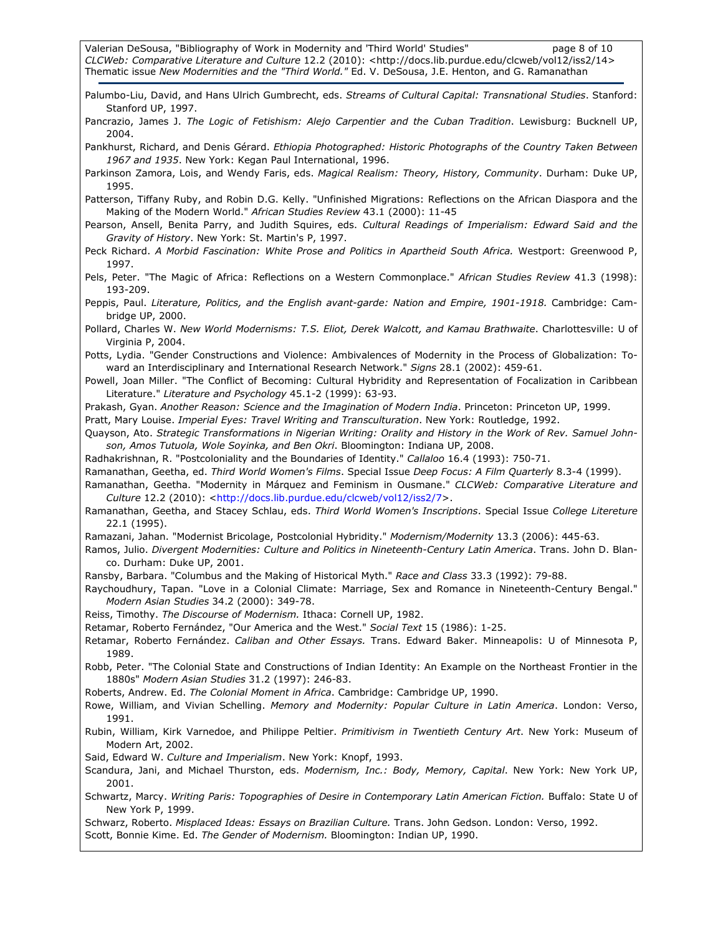Valerian DeSousa, "Bibliography of Work in Modernity and 'Third World' Studies" page 8 of 10 CLCWeb: Comparative Literature and Culture 12.2 (2010): <http://docs.lib.purdue.edu/clcweb/vol12/iss2/14> Thematic issue New Modernities and the "Third World." Ed. V. DeSousa, J.E. Henton, and G. Ramanathan

Palumbo-Liu, David, and Hans Ulrich Gumbrecht, eds. Streams of Cultural Capital: Transnational Studies. Stanford: Stanford UP, 1997.

Pancrazio, James J. The Logic of Fetishism: Alejo Carpentier and the Cuban Tradition. Lewisburg: Bucknell UP, 2004.

Pankhurst, Richard, and Denis Gérard. Ethiopia Photographed: Historic Photographs of the Country Taken Between 1967 and 1935. New York: Kegan Paul International, 1996.

Parkinson Zamora, Lois, and Wendy Faris, eds. Magical Realism: Theory, History, Community. Durham: Duke UP, 1995.

Patterson, Tiffany Ruby, and Robin D.G. Kelly. "Unfinished Migrations: Reflections on the African Diaspora and the Making of the Modern World." African Studies Review 43.1 (2000): 11-45

Pearson, Ansell, Benita Parry, and Judith Squires, eds. Cultural Readings of Imperialism: Edward Said and the Gravity of History. New York: St. Martin's P, 1997.

Peck Richard. A Morbid Fascination: White Prose and Politics in Apartheid South Africa. Westport: Greenwood P, 1997.

Pels, Peter. "The Magic of Africa: Reflections on a Western Commonplace." African Studies Review 41.3 (1998): 193-209.

Peppis, Paul. Literature, Politics, and the English avant-garde: Nation and Empire, 1901-1918. Cambridge: Cambridge UP, 2000.

Pollard, Charles W. New World Modernisms: T.S. Eliot, Derek Walcott, and Kamau Brathwaite. Charlottesville: U of Virginia P, 2004.

Potts, Lydia. "Gender Constructions and Violence: Ambivalences of Modernity in the Process of Globalization: Toward an Interdisciplinary and International Research Network." Signs 28.1 (2002): 459-61.

Powell, Joan Miller. "The Conflict of Becoming: Cultural Hybridity and Representation of Focalization in Caribbean Literature." Literature and Psychology 45.1-2 (1999): 63-93.

Prakash, Gyan. Another Reason: Science and the Imagination of Modern India. Princeton: Princeton UP, 1999.

Pratt, Mary Louise. Imperial Eyes: Travel Writing and Transculturation. New York: Routledge, 1992.

Quayson, Ato. Strategic Transformations in Nigerian Writing: Orality and History in the Work of Rev. Samuel Johnson, Amos Tutuola, Wole Soyinka, and Ben Okri. Bloomington: Indiana UP, 2008.

Radhakrishnan, R. "Postcoloniality and the Boundaries of Identity." Callaloo 16.4 (1993): 750-71.

Ramanathan, Geetha, ed. Third World Women's Films. Special Issue Deep Focus: A Film Quarterly 8.3-4 (1999).

Ramanathan, Geetha. "Modernity in Márquez and Feminism in Ousmane." CLCWeb: Comparative Literature and Culture 12.2 (2010): <http://docs.lib.purdue.edu/clcweb/vol12/iss2/7>.

Ramanathan, Geetha, and Stacey Schlau, eds. Third World Women's Inscriptions. Special Issue College Litereture 22.1 (1995).

Ramazani, Jahan. "Modernist Bricolage, Postcolonial Hybridity." Modernism/Modernity 13.3 (2006): 445-63.

Ramos, Julio. Divergent Modernities: Culture and Politics in Nineteenth-Century Latin America. Trans. John D. Blanco. Durham: Duke UP, 2001.

Ransby, Barbara. "Columbus and the Making of Historical Myth." Race and Class 33.3 (1992): 79-88.

Raychoudhury, Tapan. "Love in a Colonial Climate: Marriage, Sex and Romance in Nineteenth-Century Bengal." Modern Asian Studies 34.2 (2000): 349-78.

Reiss, Timothy. The Discourse of Modernism. Ithaca: Cornell UP, 1982.

Retamar, Roberto Fernández, "Our America and the West." Social Text 15 (1986): 1-25.

Retamar, Roberto Fernández. Caliban and Other Essays. Trans. Edward Baker. Minneapolis: U of Minnesota P, 1989.

Robb, Peter. "The Colonial State and Constructions of Indian Identity: An Example on the Northeast Frontier in the 1880s" Modern Asian Studies 31.2 (1997): 246-83.

Roberts, Andrew. Ed. The Colonial Moment in Africa. Cambridge: Cambridge UP, 1990.

Rowe, William, and Vivian Schelling. Memory and Modernity: Popular Culture in Latin America. London: Verso, 1991.

Rubin, William, Kirk Varnedoe, and Philippe Peltier. Primitivism in Twentieth Century Art. New York: Museum of Modern Art, 2002.

Said, Edward W. Culture and Imperialism. New York: Knopf, 1993.

Scandura, Jani, and Michael Thurston, eds. Modernism, Inc.: Body, Memory, Capital. New York: New York UP, 2001.

Schwartz, Marcy. Writing Paris: Topographies of Desire in Contemporary Latin American Fiction. Buffalo: State U of New York P, 1999.

Schwarz, Roberto. Misplaced Ideas: Essays on Brazilian Culture. Trans. John Gedson. London: Verso, 1992. Scott, Bonnie Kime. Ed. The Gender of Modernism. Bloomington: Indian UP, 1990.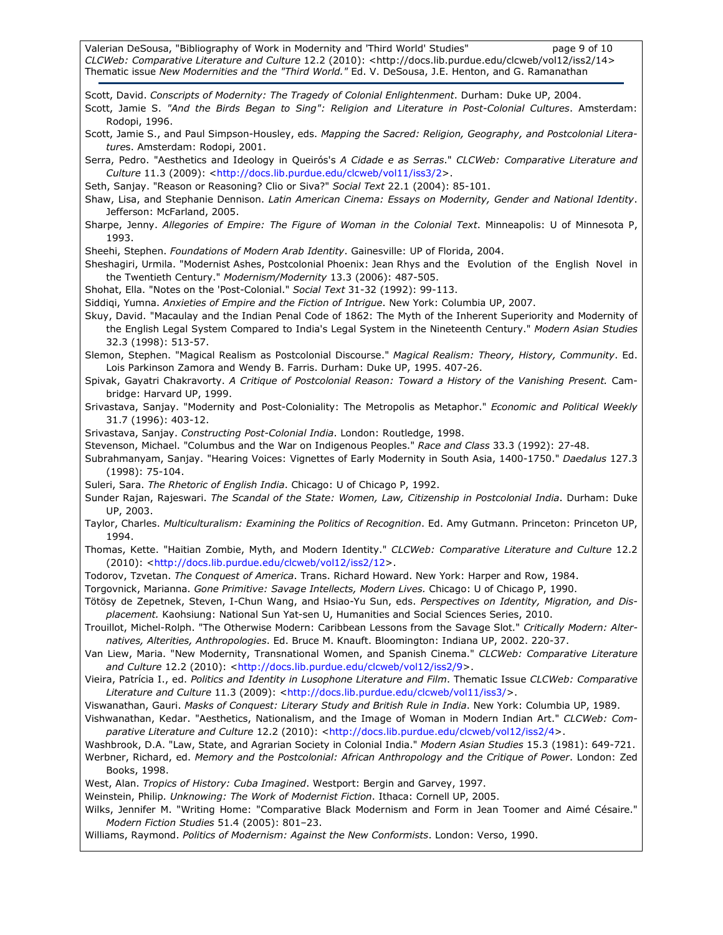Valerian DeSousa, "Bibliography of Work in Modernity and 'Third World' Studies" page 9 of 10 CLCWeb: Comparative Literature and Culture 12.2 (2010): <http://docs.lib.purdue.edu/clcweb/vol12/iss2/14> Thematic issue New Modernities and the "Third World." Ed. V. DeSousa, J.E. Henton, and G. Ramanathan

Scott, David. Conscripts of Modernity: The Tragedy of Colonial Enlightenment. Durham: Duke UP, 2004. Scott, Jamie S. "And the Birds Began to Sing": Religion and Literature in Post-Colonial Cultures. Amsterdam: Rodopi, 1996. Scott, Jamie S., and Paul Simpson-Housley, eds. Mapping the Sacred: Religion, Geography, and Postcolonial Literatures. Amsterdam: Rodopi, 2001. Serra, Pedro. "Aesthetics and Ideology in Queirós's A Cidade e as Serras." CLCWeb: Comparative Literature and Culture 11.3 (2009): <http://docs.lib.purdue.edu/clcweb/vol11/iss3/2>. Seth, Sanjay. "Reason or Reasoning? Clio or Siva?" Social Text 22.1 (2004): 85-101. Shaw, Lisa, and Stephanie Dennison. Latin American Cinema: Essays on Modernity, Gender and National Identity. Jefferson: McFarland, 2005. Sharpe, Jenny. Allegories of Empire: The Figure of Woman in the Colonial Text. Minneapolis: U of Minnesota P, 1993. Sheehi, Stephen. Foundations of Modern Arab Identity. Gainesville: UP of Florida, 2004. Sheshagiri, Urmila. "Modernist Ashes, Postcolonial Phoenix: Jean Rhys and the Evolution of the English Novel in the Twentieth Century." Modernism/Modernity 13.3 (2006): 487-505. Shohat, Ella. "Notes on the 'Post-Colonial." Social Text 31-32 (1992): 99-113. Siddiqi, Yumna. Anxieties of Empire and the Fiction of Intrigue. New York: Columbia UP, 2007. Skuy, David. "Macaulay and the Indian Penal Code of 1862: The Myth of the Inherent Superiority and Modernity of the English Legal System Compared to India's Legal System in the Nineteenth Century." Modern Asian Studies 32.3 (1998): 513-57. Slemon, Stephen. "Magical Realism as Postcolonial Discourse." Magical Realism: Theory, History, Community. Ed. Lois Parkinson Zamora and Wendy B. Farris. Durham: Duke UP, 1995. 407-26. Spivak, Gayatri Chakravorty. A Critique of Postcolonial Reason: Toward a History of the Vanishing Present. Cambridge: Harvard UP, 1999. Srivastava, Sanjay. "Modernity and Post-Coloniality: The Metropolis as Metaphor." Economic and Political Weekly 31.7 (1996): 403-12. Srivastava, Sanjay. Constructing Post-Colonial India. London: Routledge, 1998. Stevenson, Michael. "Columbus and the War on Indigenous Peoples." Race and Class 33.3 (1992): 27-48. Subrahmanyam, Sanjay. "Hearing Voices: Vignettes of Early Modernity in South Asia, 1400-1750." Daedalus 127.3 (1998): 75-104. Suleri, Sara. The Rhetoric of English India. Chicago: U of Chicago P, 1992. Sunder Rajan, Rajeswari. The Scandal of the State: Women, Law, Citizenship in Postcolonial India. Durham: Duke UP, 2003. Taylor, Charles. Multiculturalism: Examining the Politics of Recognition. Ed. Amy Gutmann. Princeton: Princeton UP, 1994. Thomas, Kette. "Haitian Zombie, Myth, and Modern Identity." CLCWeb: Comparative Literature and Culture 12.2 (2010): <http://docs.lib.purdue.edu/clcweb/vol12/iss2/12>. Todorov, Tzvetan. The Conquest of America. Trans. Richard Howard. New York: Harper and Row, 1984. Torgovnick, Marianna. Gone Primitive: Savage Intellects, Modern Lives. Chicago: U of Chicago P, 1990. Tötösy de Zepetnek, Steven, I-Chun Wang, and Hsiao-Yu Sun, eds. Perspectives on Identity, Migration, and Displacement. Kaohsiung: National Sun Yat-sen U, Humanities and Social Sciences Series, 2010. Trouillot, Michel-Rolph. "The Otherwise Modern: Caribbean Lessons from the Savage Slot." Critically Modern: Alternatives, Alterities, Anthropologies. Ed. Bruce M. Knauft. Bloomington: Indiana UP, 2002. 220-37. Van Liew, Maria. "New Modernity, Transnational Women, and Spanish Cinema." CLCWeb: Comparative Literature and Culture 12.2 (2010): <http://docs.lib.purdue.edu/clcweb/vol12/iss2/9>. Vieira, Patrícia I., ed. Politics and Identity in Lusophone Literature and Film. Thematic Issue CLCWeb: Comparative Literature and Culture 11.3 (2009): <http://docs.lib.purdue.edu/clcweb/vol11/iss3/>. Viswanathan, Gauri. Masks of Conquest: Literary Study and British Rule in India. New York: Columbia UP, 1989. Vishwanathan, Kedar. "Aesthetics, Nationalism, and the Image of Woman in Modern Indian Art." CLCWeb: Comparative Literature and Culture 12.2 (2010): <http://docs.lib.purdue.edu/clcweb/vol12/iss2/4>. Washbrook, D.A. "Law, State, and Agrarian Society in Colonial India." Modern Asian Studies 15.3 (1981): 649-721. Werbner, Richard, ed. Memory and the Postcolonial: African Anthropology and the Critique of Power. London: Zed Books, 1998. West, Alan. Tropics of History: Cuba Imagined. Westport: Bergin and Garvey, 1997.

Weinstein, Philip. Unknowing: The Work of Modernist Fiction. Ithaca: Cornell UP, 2005.

Wilks, Jennifer M. "Writing Home: "Comparative Black Modernism and Form in Jean Toomer and Aimé Césaire." Modern Fiction Studies 51.4 (2005): 801–23.

Williams, Raymond. Politics of Modernism: Against the New Conformists. London: Verso, 1990.